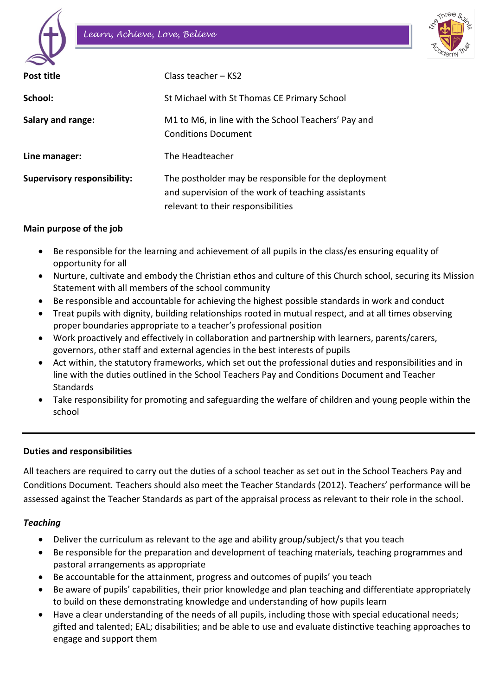| $\overline{\phantom{a}}$ ee $\overline{\phantom{a}}_{\mathcal{S}_{Q_{\mathcal{L}}}}$ |
|--------------------------------------------------------------------------------------|
|                                                                                      |
|                                                                                      |
| ು<br>m                                                                               |

| Post title                         | Class teacher – KS2                                                                                                                              |
|------------------------------------|--------------------------------------------------------------------------------------------------------------------------------------------------|
| School:                            | St Michael with St Thomas CE Primary School                                                                                                      |
| <b>Salary and range:</b>           | M1 to M6, in line with the School Teachers' Pay and<br><b>Conditions Document</b>                                                                |
| Line manager:                      | The Headteacher                                                                                                                                  |
| <b>Supervisory responsibility:</b> | The postholder may be responsible for the deployment<br>and supervision of the work of teaching assistants<br>relevant to their responsibilities |

## **Main purpose of the job**

- Be responsible for the learning and achievement of all pupils in the class/es ensuring equality of opportunity for all
- Nurture, cultivate and embody the Christian ethos and culture of this Church school, securing its Mission Statement with all members of the school community
- Be responsible and accountable for achieving the highest possible standards in work and conduct
- Treat pupils with dignity, building relationships rooted in mutual respect, and at all times observing proper boundaries appropriate to a teacher's professional position
- Work proactively and effectively in collaboration and partnership with learners, parents/carers, governors, other staff and external agencies in the best interests of pupils
- Act within, the statutory frameworks, which set out the professional duties and responsibilities and in line with the duties outlined in the School Teachers Pay and Conditions Document and Teacher **Standards**
- Take responsibility for promoting and safeguarding the welfare of children and young people within the school

# **Duties and responsibilities**

All teachers are required to carry out the duties of a school teacher as set out in the [School Teachers Pay and](https://www.education.gov.uk/publications/)  [Conditions](https://www.education.gov.uk/publications/) Document*.* Teachers should also meet the Teacher Standards (2012). Teachers' performance will be assessed against the Teacher [Standards](https://www.education.gov.uk/publications/standard/publicationDetail/Page1/DFE-00066-2011) as part of the appraisal process as relevant to their role in the school.

# *Teaching*

- Deliver the curriculum as relevant to the age and ability group/subject/s that you teach
- Be responsible for the preparation and development of teaching materials, teaching programmes and pastoral arrangements as appropriate
- Be accountable for the attainment, progress and outcomes of pupils' you teach
- Be aware of pupils' capabilities, their prior knowledge and plan teaching and differentiate appropriately to build on these demonstrating knowledge and understanding of how pupils learn
- Have a clear understanding of the needs of all pupils, including those with special educational needs; gifted and talented; EAL; disabilities; and be able to use and evaluate distinctive teaching approaches to engage and support them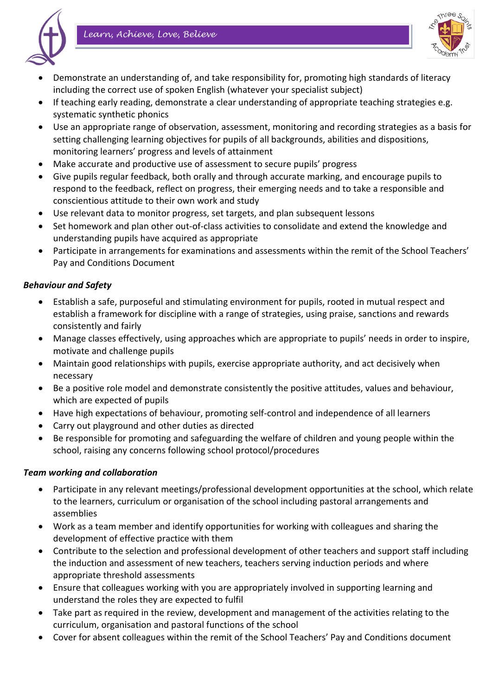





- Demonstrate an understanding of, and take responsibility for, promoting high standards of literacy including the correct use of spoken English (whatever your specialist subject)
- If teaching early reading, demonstrate a clear understanding of appropriate teaching strategies e.g. systematic synthetic phonics
- Use an appropriate range of observation, assessment, monitoring and recording strategies as a basis for setting challenging learning objectives for pupils of all backgrounds, abilities and dispositions, monitoring learners' progress and levels of attainment
- Make accurate and productive use of assessment to secure pupils' progress
- Give pupils regular feedback, both orally and through accurate marking, and encourage pupils to respond to the feedback, reflect on progress, their emerging needs and to take a responsible and conscientious attitude to their own work and study
- Use relevant data to monitor progress, set targets, and plan subsequent lessons
- Set homework and plan other out-of-class activities to consolidate and extend the knowledge and understanding pupils have acquired as appropriate
- Participate in arrangements for examinations and assessments within the remit of the School Teachers' Pay and Conditions Document

## *Behaviour and Safety*

- Establish a safe, purposeful and stimulating environment for pupils, rooted in mutual respect and establish a framework for discipline with a range of strategies, using praise, sanctions and rewards consistently and fairly
- Manage classes effectively, using approaches which are appropriate to pupils' needs in order to inspire, motivate and challenge pupils
- Maintain good relationships with pupils, exercise appropriate authority, and act decisively when necessary
- Be a positive role model and demonstrate consistently the positive attitudes, values and behaviour, which are expected of pupils
- Have high expectations of behaviour, promoting self-control and independence of all learners
- Carry out playground and other duties as directed
- Be responsible for promoting and safeguarding the welfare of children and young people within the school, raising any concerns following school protocol/procedures

#### *Team working and collaboration*

- Participate in any relevant meetings/professional development opportunities at the school, which relate to the learners, curriculum or organisation of the school including pastoral arrangements and assemblies
- Work as a team member and identify opportunities for working with colleagues and sharing the development of effective practice with them
- Contribute to the selection and professional development of other teachers and support staff including the induction and assessment of new teachers, teachers serving induction periods and where appropriate threshold assessments
- Ensure that colleagues working with you are appropriately involved in supporting learning and understand the roles they are expected to fulfil
- Take part as required in the review, development and management of the activities relating to the curriculum, organisation and pastoral functions of the school
- Cover for absent colleagues within the remit of the School Teachers' Pay and Conditions document